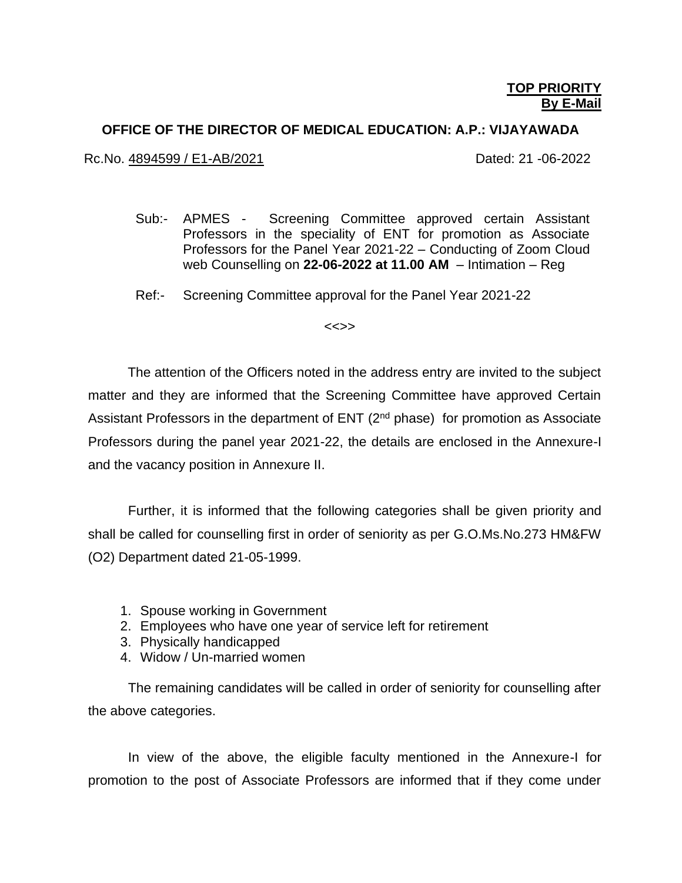#### **OFFICE OF THE DIRECTOR OF MEDICAL EDUCATION: A.P.: VIJAYAWADA**

Rc.No. 4894599 / E1-AB/2021 Case Control Control Cated: 21 -06-2022

- Sub:- APMES Screening Committee approved certain Assistant Professors in the speciality of ENT for promotion as Associate Professors for the Panel Year 2021-22 – Conducting of Zoom Cloud web Counselling on **22-06-2022 at 11.00 AM** – Intimation – Reg
- Ref:- Screening Committee approval for the Panel Year 2021-22

<<>>

 The attention of the Officers noted in the address entry are invited to the subject matter and they are informed that the Screening Committee have approved Certain Assistant Professors in the department of ENT  $(2^{nd}$  phase) for promotion as Associate Professors during the panel year 2021-22, the details are enclosed in the Annexure-I and the vacancy position in Annexure II.

Further, it is informed that the following categories shall be given priority and shall be called for counselling first in order of seniority as per G.O.Ms.No.273 HM&FW (O2) Department dated 21-05-1999.

- 1. Spouse working in Government
- 2. Employees who have one year of service left for retirement
- 3. Physically handicapped
- 4. Widow / Un-married women

The remaining candidates will be called in order of seniority for counselling after the above categories.

In view of the above, the eligible faculty mentioned in the Annexure-I for promotion to the post of Associate Professors are informed that if they come under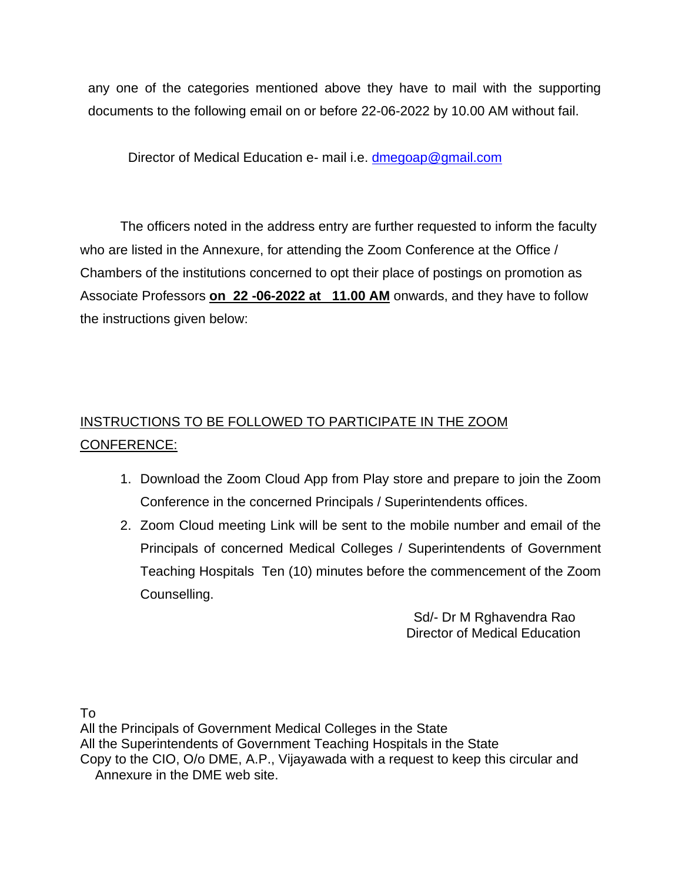any one of the categories mentioned above they have to mail with the supporting documents to the following email on or before 22-06-2022 by 10.00 AM without fail.

Director of Medical Education e- mail i.e. [dmegoap@gmail.com](mailto:dmegoap@gmail.com)

The officers noted in the address entry are further requested to inform the faculty who are listed in the Annexure, for attending the Zoom Conference at the Office / Chambers of the institutions concerned to opt their place of postings on promotion as Associate Professors **on 22 -06-2022 at 11.00 AM** onwards, and they have to follow the instructions given below:

# INSTRUCTIONS TO BE FOLLOWED TO PARTICIPATE IN THE ZOOM CONFERENCE:

- 1. Download the Zoom Cloud App from Play store and prepare to join the Zoom Conference in the concerned Principals / Superintendents offices.
- 2. Zoom Cloud meeting Link will be sent to the mobile number and email of the Principals of concerned Medical Colleges / Superintendents of Government Teaching Hospitals Ten (10) minutes before the commencement of the Zoom Counselling.

 Sd/- Dr M Rghavendra Rao Director of Medical Education

To

All the Principals of Government Medical Colleges in the State All the Superintendents of Government Teaching Hospitals in the State Copy to the CIO, O/o DME, A.P., Vijayawada with a request to keep this circular and Annexure in the DME web site.